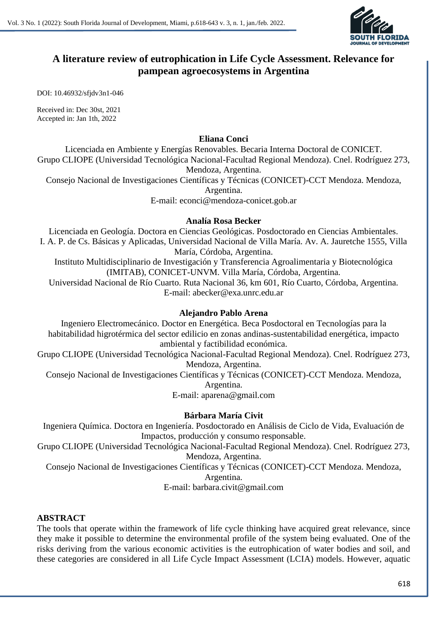

## **A literature review of eutrophication in Life Cycle Assessment. Relevance for pampean agroecosystems in Argentina**

DOI: 10.46932/sfjdv3n1-046

Received in: Dec 30st, 2021 Accepted in: Jan 1th, 2022

### **Eliana Conci**

Licenciada en Ambiente y Energías Renovables. Becaria Interna Doctoral de CONICET. Grupo CLIOPE (Universidad Tecnológica Nacional-Facultad Regional Mendoza). Cnel. Rodríguez 273, Mendoza, Argentina.

Consejo Nacional de Investigaciones Científicas y Técnicas (CONICET)-CCT Mendoza. Mendoza, Argentina.

E-mail: econci@mendoza-conicet.gob.ar

### **Analía Rosa Becker**

Licenciada en Geología. Doctora en Ciencias Geológicas. Posdoctorado en Ciencias Ambientales. I. A. P. de Cs. Básicas y Aplicadas, Universidad Nacional de Villa María. Av. A. Jauretche 1555, Villa María, Córdoba, Argentina. Instituto Multidisciplinario de Investigación y Transferencia Agroalimentaria y Biotecnológica

(IMITAB), CONICET-UNVM. Villa María, Córdoba, Argentina.

Universidad Nacional de Río Cuarto. Ruta Nacional 36, km 601, Río Cuarto, Córdoba, Argentina. E-mail: abecker@exa.unrc.edu.ar

## **Alejandro Pablo Arena**

Ingeniero Electromecánico. Doctor en Energética. Beca Posdoctoral en Tecnologías para la habitabilidad higrotérmica del sector edilicio en zonas andinas-sustentabilidad energética, impacto ambiental y factibilidad económica.

Grupo CLIOPE (Universidad Tecnológica Nacional-Facultad Regional Mendoza). Cnel. Rodríguez 273, Mendoza, Argentina.

Consejo Nacional de Investigaciones Científicas y Técnicas (CONICET)-CCT Mendoza. Mendoza,

Argentina.

E-mail: aparena@gmail.com

## **Bárbara María Civit**

Ingeniera Química. Doctora en Ingeniería. Posdoctorado en Análisis de Ciclo de Vida, Evaluación de Impactos, producción y consumo responsable.

Grupo CLIOPE (Universidad Tecnológica Nacional-Facultad Regional Mendoza). Cnel. Rodríguez 273, Mendoza, Argentina.

Consejo Nacional de Investigaciones Científicas y Técnicas (CONICET)-CCT Mendoza. Mendoza,

Argentina.

E-mail: barbara.civit@gmail.com

## **ABSTRACT**

The tools that operate within the framework of life cycle thinking have acquired great relevance, since they make it possible to determine the environmental profile of the system being evaluated. One of the risks deriving from the various economic activities is the eutrophication of water bodies and soil, and these categories are considered in all Life Cycle Impact Assessment (LCIA) models. However, aquatic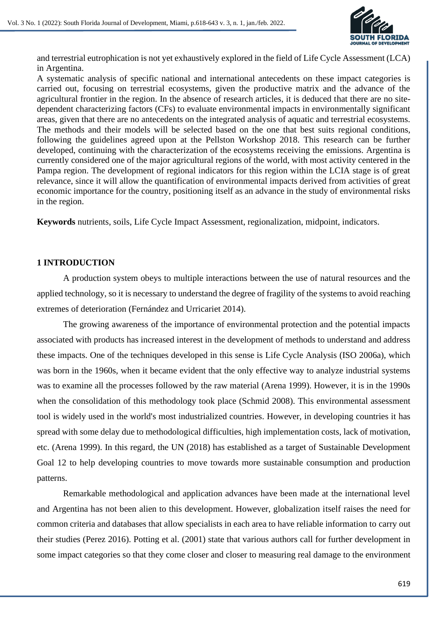

and terrestrial eutrophication is not yet exhaustively explored in the field of Life Cycle Assessment (LCA) in Argentina.

A systematic analysis of specific national and international antecedents on these impact categories is carried out, focusing on terrestrial ecosystems, given the productive matrix and the advance of the agricultural frontier in the region. In the absence of research articles, it is deduced that there are no sitedependent characterizing factors (CFs) to evaluate environmental impacts in environmentally significant areas, given that there are no antecedents on the integrated analysis of aquatic and terrestrial ecosystems. The methods and their models will be selected based on the one that best suits regional conditions, following the guidelines agreed upon at the Pellston Workshop 2018. This research can be further developed, continuing with the characterization of the ecosystems receiving the emissions. Argentina is currently considered one of the major agricultural regions of the world, with most activity centered in the Pampa region. The development of regional indicators for this region within the LCIA stage is of great relevance, since it will allow the quantification of environmental impacts derived from activities of great economic importance for the country, positioning itself as an advance in the study of environmental risks in the region.

**Keywords** nutrients, soils, Life Cycle Impact Assessment, regionalization, midpoint, indicators.

### **1 INTRODUCTION**

A production system obeys to multiple interactions between the use of natural resources and the applied technology, so it is necessary to understand the degree of fragility of the systems to avoid reaching extremes of deterioration (Fernández and Urricariet 2014).

The growing awareness of the importance of environmental protection and the potential impacts associated with products has increased interest in the development of methods to understand and address these impacts. One of the techniques developed in this sense is Life Cycle Analysis (ISO 2006a), which was born in the 1960s, when it became evident that the only effective way to analyze industrial systems was to examine all the processes followed by the raw material (Arena 1999). However, it is in the 1990s when the consolidation of this methodology took place (Schmid 2008). This environmental assessment tool is widely used in the world's most industrialized countries. However, in developing countries it has spread with some delay due to methodological difficulties, high implementation costs, lack of motivation, etc. (Arena 1999). In this regard, the UN (2018) has established as a target of Sustainable Development Goal 12 to help developing countries to move towards more sustainable consumption and production patterns.

Remarkable methodological and application advances have been made at the international level and Argentina has not been alien to this development. However, globalization itself raises the need for common criteria and databases that allow specialists in each area to have reliable information to carry out their studies (Perez 2016). Potting et al. (2001) state that various authors call for further development in some impact categories so that they come closer and closer to measuring real damage to the environment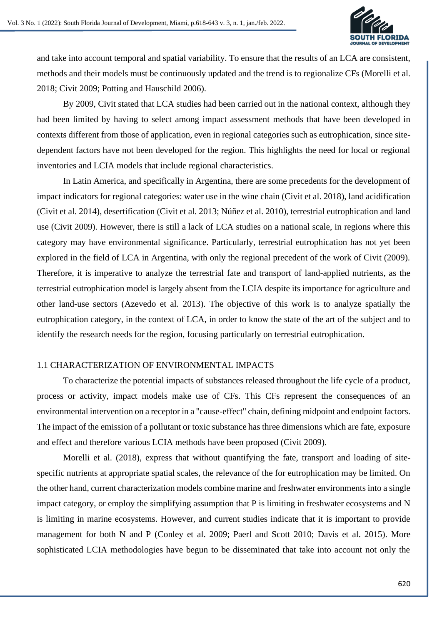

and take into account temporal and spatial variability. To ensure that the results of an LCA are consistent, methods and their models must be continuously updated and the trend is to regionalize CFs (Morelli et al. 2018; Civit 2009; Potting and Hauschild 2006).

By 2009, Civit stated that LCA studies had been carried out in the national context, although they had been limited by having to select among impact assessment methods that have been developed in contexts different from those of application, even in regional categories such as eutrophication, since sitedependent factors have not been developed for the region. This highlights the need for local or regional inventories and LCIA models that include regional characteristics.

In Latin America, and specifically in Argentina, there are some precedents for the development of impact indicators for regional categories: water use in the wine chain (Civit et al. 2018), land acidification (Civit et al. 2014), desertification (Civit et al. 2013; Núñez et al. 2010), terrestrial eutrophication and land use (Civit 2009). However, there is still a lack of LCA studies on a national scale, in regions where this category may have environmental significance. Particularly, terrestrial eutrophication has not yet been explored in the field of LCA in Argentina, with only the regional precedent of the work of Civit (2009). Therefore, it is imperative to analyze the terrestrial fate and transport of land-applied nutrients, as the terrestrial eutrophication model is largely absent from the LCIA despite its importance for agriculture and other land-use sectors (Azevedo et al. 2013). The objective of this work is to analyze spatially the eutrophication category, in the context of LCA, in order to know the state of the art of the subject and to identify the research needs for the region, focusing particularly on terrestrial eutrophication.

## 1.1 CHARACTERIZATION OF ENVIRONMENTAL IMPACTS

To characterize the potential impacts of substances released throughout the life cycle of a product, process or activity, impact models make use of CFs. This CFs represent the consequences of an environmental intervention on a receptor in a "cause-effect" chain, defining midpoint and endpoint factors. The impact of the emission of a pollutant or toxic substance has three dimensions which are fate, exposure and effect and therefore various LCIA methods have been proposed (Civit 2009).

Morelli et al. (2018), express that without quantifying the fate, transport and loading of sitespecific nutrients at appropriate spatial scales, the relevance of the for eutrophication may be limited. On the other hand, current characterization models combine marine and freshwater environments into a single impact category, or employ the simplifying assumption that P is limiting in freshwater ecosystems and N is limiting in marine ecosystems. However, and current studies indicate that it is important to provide management for both N and P (Conley et al. 2009; Paerl and Scott 2010; Davis et al. 2015). More sophisticated LCIA methodologies have begun to be disseminated that take into account not only the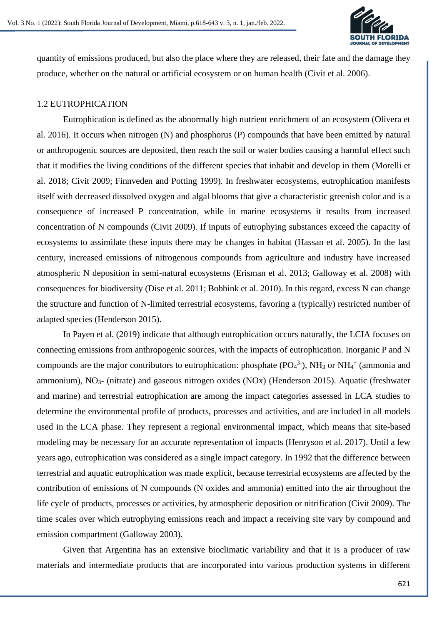

quantity of emissions produced, but also the place where they are released, their fate and the damage they produce, whether on the natural or artificial ecosystem or on human health (Civit et al. 2006).

### 1.2 EUTROPHICATION

Eutrophication is defined as the abnormally high nutrient enrichment of an ecosystem (Olivera et al. 2016). It occurs when nitrogen (N) and phosphorus (P) compounds that have been emitted by natural or anthropogenic sources are deposited, then reach the soil or water bodies causing a harmful effect such that it modifies the living conditions of the different species that inhabit and develop in them (Morelli et al. 2018; Civit 2009; Finnveden and Potting 1999). In freshwater ecosystems, eutrophication manifests itself with decreased dissolved oxygen and algal blooms that give a characteristic greenish color and is a consequence of increased P concentration, while in marine ecosystems it results from increased concentration of N compounds (Civit 2009). If inputs of eutrophying substances exceed the capacity of ecosystems to assimilate these inputs there may be changes in habitat (Hassan et al. 2005). In the last century, increased emissions of nitrogenous compounds from agriculture and industry have increased atmospheric N deposition in semi-natural ecosystems (Erisman et al. 2013; Galloway et al. 2008) with consequences for biodiversity (Dise et al. 2011; Bobbink et al. 2010). In this regard, excess N can change the structure and function of N-limited terrestrial ecosystems, favoring a (typically) restricted number of adapted species (Henderson 2015).

In Payen et al. (2019) indicate that although eutrophication occurs naturally, the LCIA focuses on connecting emissions from anthropogenic sources, with the impacts of eutrophication. Inorganic P and N compounds are the major contributors to eutrophication: phosphate  $(PO<sub>4</sub><sup>3</sup>)$ , NH<sub>3</sub> or NH<sub>4</sub><sup>+</sup> (ammonia and ammonium),  $NO<sub>3</sub>$ - (nitrate) and gaseous nitrogen oxides (NOx) (Henderson 2015). Aquatic (freshwater and marine) and terrestrial eutrophication are among the impact categories assessed in LCA studies to determine the environmental profile of products, processes and activities, and are included in all models used in the LCA phase. They represent a regional environmental impact, which means that site-based modeling may be necessary for an accurate representation of impacts (Henryson et al. 2017). Until a few years ago, eutrophication was considered as a single impact category. In 1992 that the difference between terrestrial and aquatic eutrophication was made explicit, because terrestrial ecosystems are affected by the contribution of emissions of N compounds (N oxides and ammonia) emitted into the air throughout the life cycle of products, processes or activities, by atmospheric deposition or nitrification (Civit 2009). The time scales over which eutrophying emissions reach and impact a receiving site vary by compound and emission compartment (Galloway 2003).

Given that Argentina has an extensive bioclimatic variability and that it is a producer of raw materials and intermediate products that are incorporated into various production systems in different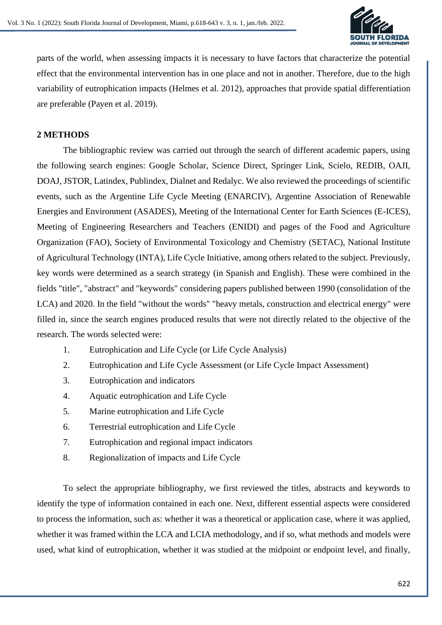

parts of the world, when assessing impacts it is necessary to have factors that characterize the potential effect that the environmental intervention has in one place and not in another. Therefore, due to the high variability of eutrophication impacts (Helmes et al. 2012), approaches that provide spatial differentiation are preferable (Payen et al. 2019).

## **2 METHODS**

The bibliographic review was carried out through the search of different academic papers, using the following search engines: Google Scholar, Science Direct, Springer Link, Scielo, REDIB, OAJI, DOAJ, JSTOR, Latindex, Publindex, Dialnet and Redalyc. We also reviewed the proceedings of scientific events, such as the Argentine Life Cycle Meeting (ENARCIV), Argentine Association of Renewable Energies and Environment (ASADES), Meeting of the International Center for Earth Sciences (E-ICES), Meeting of Engineering Researchers and Teachers (ENIDI) and pages of the Food and Agriculture Organization (FAO), Society of Environmental Toxicology and Chemistry (SETAC), National Institute of Agricultural Technology (INTA), Life Cycle Initiative, among others related to the subject. Previously, key words were determined as a search strategy (in Spanish and English). These were combined in the fields "title", "abstract" and "keywords" considering papers published between 1990 (consolidation of the LCA) and 2020. In the field "without the words" "heavy metals, construction and electrical energy" were filled in, since the search engines produced results that were not directly related to the objective of the research. The words selected were:

- 1. Eutrophication and Life Cycle (or Life Cycle Analysis)
- 2. Eutrophication and Life Cycle Assessment (or Life Cycle Impact Assessment)
- 3. Eutrophication and indicators
- 4. Aquatic eutrophication and Life Cycle
- 5. Marine eutrophication and Life Cycle
- 6. Terrestrial eutrophication and Life Cycle
- 7. Eutrophication and regional impact indicators
- 8. Regionalization of impacts and Life Cycle

To select the appropriate bibliography, we first reviewed the titles, abstracts and keywords to identify the type of information contained in each one. Next, different essential aspects were considered to process the information, such as: whether it was a theoretical or application case, where it was applied, whether it was framed within the LCA and LCIA methodology, and if so, what methods and models were used, what kind of eutrophication, whether it was studied at the midpoint or endpoint level, and finally,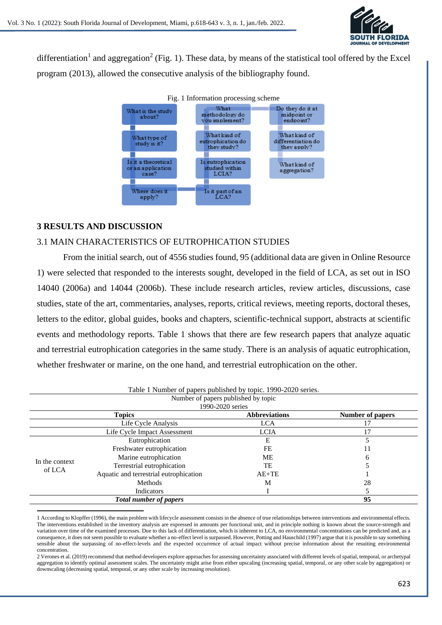

differentiation<sup>1</sup> and aggregation<sup>2</sup> (Fig. 1). These data, by means of the statistical tool offered by the Excel program (2013), allowed the consecutive analysis of the bibliography found.



## **3 RESULTS AND DISCUSSION**

## 3.1 MAIN CHARACTERISTICS OF EUTROPHICATION STUDIES

From the initial search, out of 4556 studies found, 95 (additional data are given in Online Resource 1) were selected that responded to the interests sought, developed in the field of LCA, as set out in ISO 14040 (2006a) and 14044 (2006b). These include research articles, review articles, discussions, case studies, state of the art, commentaries, analyses, reports, critical reviews, meeting reports, doctoral theses, letters to the editor, global guides, books and chapters, scientific-technical support, abstracts at scientific events and methodology reports. Table 1 shows that there are few research papers that analyze aquatic and terrestrial eutrophication categories in the same study. There is an analysis of aquatic eutrophication, whether freshwater or marine, on the one hand, and terrestrial eutrophication on the other.

| Table 1 Number of papers published by topic. 1990-2020 series. |                                        |                      |                  |  |  |  |  |
|----------------------------------------------------------------|----------------------------------------|----------------------|------------------|--|--|--|--|
| Number of papers published by topic                            |                                        |                      |                  |  |  |  |  |
| 1990-2020 series                                               |                                        |                      |                  |  |  |  |  |
|                                                                | <b>Topics</b>                          | <b>Abbreviations</b> | Number of papers |  |  |  |  |
|                                                                | Life Cycle Analysis                    | <b>LCA</b>           | 17               |  |  |  |  |
|                                                                | Life Cycle Impact Assessment           | <b>LCIA</b>          |                  |  |  |  |  |
| In the context<br>of LCA                                       | Eutrophication                         | Е                    |                  |  |  |  |  |
|                                                                | Freshwater eutrophication              | FE                   |                  |  |  |  |  |
|                                                                | Marine eutrophication                  | МE                   | h                |  |  |  |  |
|                                                                | Terrestrial eutrophication             | TE                   |                  |  |  |  |  |
|                                                                | Aquatic and terrestrial eutrophication | $AE+TE$              |                  |  |  |  |  |
|                                                                | <b>Methods</b>                         | M                    | 28               |  |  |  |  |
|                                                                | Indicators                             |                      |                  |  |  |  |  |
|                                                                | 95                                     |                      |                  |  |  |  |  |

<sup>1</sup> According to Klopffer (1996), the main problem with lifecycle assessment consists in the absence of true relationships between interventions and environmental effects. The interventions established in the inventory analysis are expressed in amounts per functional unit, and in principle nothing is known about the source-strength and variation over time of the examined processes. Due to this lack of differentiation, which is inherent to LCA, no environmental concentrations can be predicted and, as a consequence, it does not seem possible to evaluate whether a no-effect level is surpassed. However, Potting and Hauschild (1997) argue that it is possible to say something sensible about the surpassing of no-effect-levels and the expected occurrence of actual impact without precise information about the resuiting environmental concentration.

<sup>2</sup> Verones et al. (2019) recommend that method developers explore approaches for assessing uncertainty associated with different levels of spatial, temporal, or archetypal aggregation to identify optimal assessment scales. The uncertainty might arise from either upscaling (increasing spatial, temporal, or any other scale by aggregation) or downscaling (decreasing spatial, temporal, or any other scale by increasing resolution).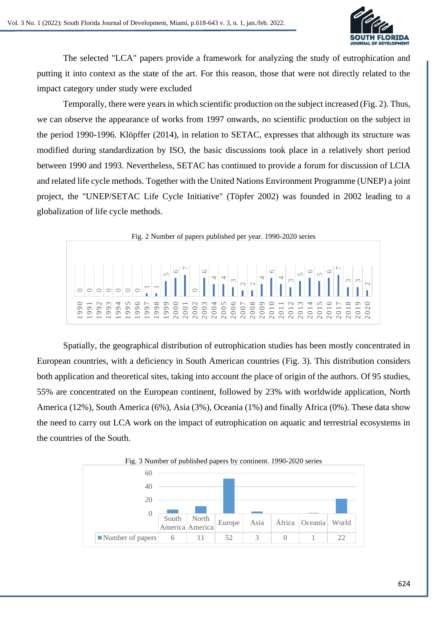

The selected "LCA" papers provide a framework for analyzing the study of eutrophication and putting it into context as the state of the art. For this reason, those that were not directly related to the impact category under study were excluded

Temporally, there were years in which scientific production on the subject increased (Fig. 2). Thus, we can observe the appearance of works from 1997 onwards, no scientific production on the subject in the period 1990-1996. Klöpffer (2014), in relation to SETAC, expresses that although its structure was modified during standardization by ISO, the basic discussions took place in a relatively short period between 1990 and 1993. Nevertheless, SETAC has continued to provide a forum for discussion of LCIA and related life cycle methods. Together with the United Nations Environment Programme (UNEP) a joint project, the "UNEP/SETAC Life Cycle Initiative" (Töpfer 2002) was founded in 2002 leading to a globalization of life cycle methods.



Spatially, the geographical distribution of eutrophication studies has been mostly concentrated in European countries, with a deficiency in South American countries (Fig. 3). This distribution considers both application and theoretical sites, taking into account the place of origin of the authors. Of 95 studies, 55% are concentrated on the European continent, followed by 23% with worldwide application, North America (12%), South America (6%), Asia (3%), Oceania (1%) and finally Africa (0%). These data show the need to carry out LCA work on the impact of eutrophication on aquatic and terrestrial ecosystems in the countries of the South.

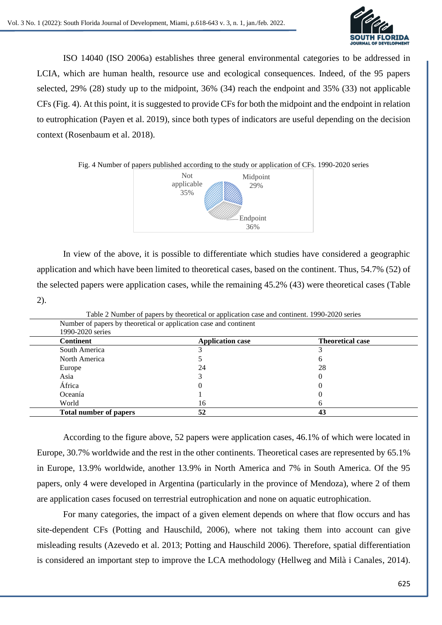

ISO 14040 (ISO 2006a) establishes three general environmental categories to be addressed in LCIA, which are human health, resource use and ecological consequences. Indeed, of the 95 papers selected, 29% (28) study up to the midpoint, 36% (34) reach the endpoint and 35% (33) not applicable CFs (Fig. 4). At this point, it is suggested to provide CFs for both the midpoint and the endpoint in relation to eutrophication (Payen et al. 2019), since both types of indicators are useful depending on the decision context (Rosenbaum et al. 2018).

Fig. 4 Number of papers published according to the study or application of CFs. 1990-2020 series



In view of the above, it is possible to differentiate which studies have considered a geographic application and which have been limited to theoretical cases, based on the continent. Thus, 54.7% (52) of the selected papers were application cases, while the remaining 45.2% (43) were theoretical cases (Table 2).

|                                                                   | Table 2 Number of papers by theoretical or application case and continent. 1990-2020 series |                         |  |  |  |  |  |
|-------------------------------------------------------------------|---------------------------------------------------------------------------------------------|-------------------------|--|--|--|--|--|
| Number of papers by theoretical or application case and continent |                                                                                             |                         |  |  |  |  |  |
| 1990-2020 series                                                  |                                                                                             |                         |  |  |  |  |  |
| <b>Continent</b>                                                  | <b>Application case</b>                                                                     | <b>Theoretical case</b> |  |  |  |  |  |
| South America                                                     |                                                                                             |                         |  |  |  |  |  |
| North America                                                     |                                                                                             | O                       |  |  |  |  |  |
| Europe                                                            | 24                                                                                          | 28                      |  |  |  |  |  |
| Asia                                                              |                                                                                             |                         |  |  |  |  |  |
| África                                                            |                                                                                             |                         |  |  |  |  |  |
| Oceanía                                                           |                                                                                             |                         |  |  |  |  |  |
| World                                                             | 16                                                                                          |                         |  |  |  |  |  |
| <b>Total number of papers</b>                                     | 52                                                                                          | 43                      |  |  |  |  |  |

Table 2 Number of papers by theoretical or application case and continent. 1990-2020 series

According to the figure above, 52 papers were application cases, 46.1% of which were located in Europe, 30.7% worldwide and the rest in the other continents. Theoretical cases are represented by 65.1% in Europe, 13.9% worldwide, another 13.9% in North America and 7% in South America. Of the 95 papers, only 4 were developed in Argentina (particularly in the province of Mendoza), where 2 of them are application cases focused on terrestrial eutrophication and none on aquatic eutrophication.

For many categories, the impact of a given element depends on where that flow occurs and has site-dependent CFs (Potting and Hauschild, 2006), where not taking them into account can give misleading results (Azevedo et al. 2013; Potting and Hauschild 2006). Therefore, spatial differentiation is considered an important step to improve the LCA methodology (Hellweg and Milà i Canales, 2014).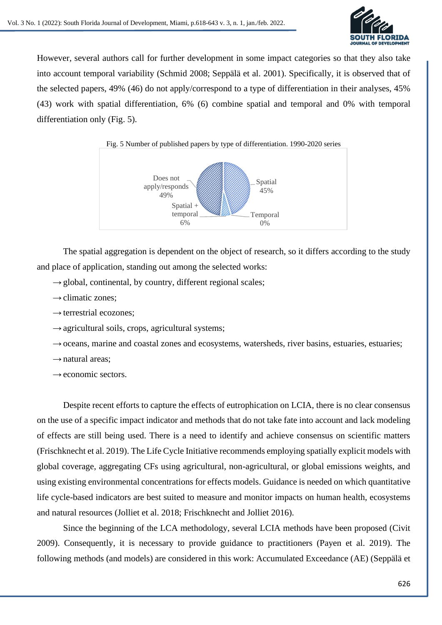

However, several authors call for further development in some impact categories so that they also take into account temporal variability (Schmid 2008; Seppälä et al. 2001). Specifically, it is observed that of the selected papers, 49% (46) do not apply/correspond to a type of differentiation in their analyses, 45% (43) work with spatial differentiation, 6% (6) combine spatial and temporal and 0% with temporal differentiation only (Fig. 5).



The spatial aggregation is dependent on the object of research, so it differs according to the study and place of application, standing out among the selected works:

- $\rightarrow$  global, continental, by country, different regional scales;
- $\rightarrow$  climatic zones:
- $\rightarrow$  terrestrial ecozones;
- $\rightarrow$  agricultural soils, crops, agricultural systems;
- $\rightarrow$  oceans, marine and coastal zones and ecosystems, watersheds, river basins, estuaries, estuaries;
- $\rightarrow$  natural areas:
- $\rightarrow$  economic sectors.

Despite recent efforts to capture the effects of eutrophication on LCIA, there is no clear consensus on the use of a specific impact indicator and methods that do not take fate into account and lack modeling of effects are still being used. There is a need to identify and achieve consensus on scientific matters (Frischknecht et al. 2019). The Life Cycle Initiative recommends employing spatially explicit models with global coverage, aggregating CFs using agricultural, non-agricultural, or global emissions weights, and using existing environmental concentrations for effects models. Guidance is needed on which quantitative life cycle-based indicators are best suited to measure and monitor impacts on human health, ecosystems and natural resources (Jolliet et al. 2018; Frischknecht and Jolliet 2016).

Since the beginning of the LCA methodology, several LCIA methods have been proposed (Civit 2009). Consequently, it is necessary to provide guidance to practitioners (Payen et al. 2019). The following methods (and models) are considered in this work: Accumulated Exceedance (AE) (Seppälä et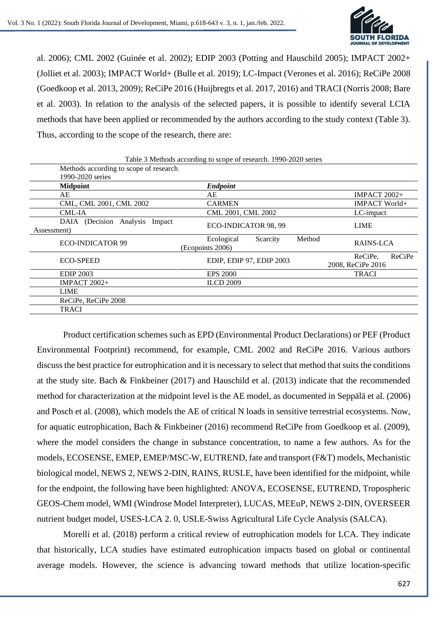

al. 2006); CML 2002 (Guinée et al. 2002); EDIP 2003 (Potting and Hauschild 2005); IMPACT 2002+ (Jolliet et al. 2003); IMPACT World+ (Bulle et al. 2019); LC-Impact (Verones et al. 2016); ReCiPe 2008 (Goedkoop et al. 2013, 2009); ReCiPe 2016 (Huijbregts et al. 2017, 2016) and TRACI (Norris 2008; Bare et al. 2003). In relation to the analysis of the selected papers, it is possible to identify several LCIA methods that have been applied or recommended by the authors according to the study context (Table 3). Thus, according to the scope of the research, there are:

| Table 3 Methods according to scope of research. 1990-2020 series |                                                      |                                        |  |  |  |  |
|------------------------------------------------------------------|------------------------------------------------------|----------------------------------------|--|--|--|--|
| Methods according to scope of research                           |                                                      |                                        |  |  |  |  |
| 1990-2020 series                                                 |                                                      |                                        |  |  |  |  |
| <b>Midpoint</b>                                                  | <b>Endpoint</b>                                      |                                        |  |  |  |  |
| AE                                                               | AE                                                   | <b>IMPACT 2002+</b>                    |  |  |  |  |
| CML, CML 2001, CML 2002                                          | <b>CARMEN</b>                                        | IMPACT World+                          |  |  |  |  |
| CML-IA                                                           | CML 2001, CML 2002                                   | LC-impact                              |  |  |  |  |
| DAIA (Decision Analysis Impact)<br>Assessment)                   | ECO-INDICATOR 98, 99                                 | <b>LIME</b>                            |  |  |  |  |
| ECO-INDICATOR 99                                                 | Method<br>Ecological<br>Scarcity<br>(Ecopoints 2006) | RAINS-LCA                              |  |  |  |  |
| <b>ECO-SPEED</b>                                                 | EDIP, EDIP 97, EDIP 2003                             | ReCiPe<br>ReCiPe.<br>2008, ReCiPe 2016 |  |  |  |  |
| <b>EDIP 2003</b>                                                 | <b>EPS 2000</b>                                      | <b>TRACI</b>                           |  |  |  |  |
| <b>IMPACT 2002+</b>                                              | <b>ILCD 2009</b>                                     |                                        |  |  |  |  |
| <b>LIME</b>                                                      |                                                      |                                        |  |  |  |  |
| ReCiPe, ReCiPe 2008                                              |                                                      |                                        |  |  |  |  |
| TRACI                                                            |                                                      |                                        |  |  |  |  |

Product certification schemes such as EPD (Environmental Product Declarations) or PEF (Product Environmental Footprint) recommend, for example, CML 2002 and ReCiPe 2016. Various authors discuss the best practice for eutrophication and it is necessary to select that method that suits the conditions at the study site. Bach & Finkbeiner (2017) and Hauschild et al. (2013) indicate that the recommended method for characterization at the midpoint level is the AE model, as documented in Seppälä et al. (2006) and Posch et al. (2008), which models the AE of critical N loads in sensitive terrestrial ecosystems. Now, for aquatic eutrophication, Bach & Finkbeiner (2016) recommend ReCiPe from Goedkoop et al. (2009), where the model considers the change in substance concentration, to name a few authors. As for the models, ECOSENSE, EMEP, EMEP/MSC-W, EUTREND, fate and transport (F&T) models, Mechanistic biological model, NEWS 2, NEWS 2-DIN, RAINS, RUSLE, have been identified for the midpoint, while for the endpoint, the following have been highlighted: ANOVA, ECOSENSE, EUTREND, Tropospheric GEOS-Chem model, WMI (Windrose Model Interpreter), LUCAS, MEEuP, NEWS 2-DIN, OVERSEER nutrient budget model, USES-LCA 2. 0, USLE-Swiss Agricultural Life Cycle Analysis (SALCA).

Morelli et al. (2018) perform a critical review of eutrophication models for LCA. They indicate that historically, LCA studies have estimated eutrophication impacts based on global or continental average models. However, the science is advancing toward methods that utilize location-specific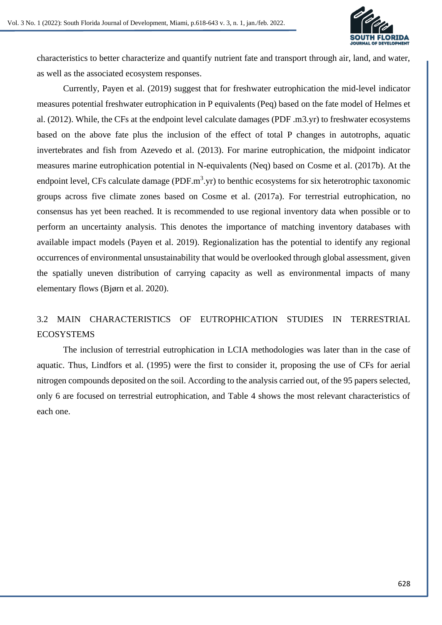

characteristics to better characterize and quantify nutrient fate and transport through air, land, and water, as well as the associated ecosystem responses.

Currently, Payen et al. (2019) suggest that for freshwater eutrophication the mid-level indicator measures potential freshwater eutrophication in P equivalents (Peq) based on the fate model of Helmes et al. (2012). While, the CFs at the endpoint level calculate damages (PDF .m3.yr) to freshwater ecosystems based on the above fate plus the inclusion of the effect of total P changes in autotrophs, aquatic invertebrates and fish from Azevedo et al. (2013). For marine eutrophication, the midpoint indicator measures marine eutrophication potential in N-equivalents (Neq) based on Cosme et al. (2017b). At the endpoint level, CFs calculate damage (PDF. $m<sup>3</sup>$ .yr) to benthic ecosystems for six heterotrophic taxonomic groups across five climate zones based on Cosme et al. (2017a). For terrestrial eutrophication, no consensus has yet been reached. It is recommended to use regional inventory data when possible or to perform an uncertainty analysis. This denotes the importance of matching inventory databases with available impact models (Payen et al. 2019). Regionalization has the potential to identify any regional occurrences of environmental unsustainability that would be overlooked through global assessment, given the spatially uneven distribution of carrying capacity as well as environmental impacts of many elementary flows (Bjørn et al. 2020).

# 3.2 MAIN CHARACTERISTICS OF EUTROPHICATION STUDIES IN TERRESTRIAL **ECOSYSTEMS**

The inclusion of terrestrial eutrophication in LCIA methodologies was later than in the case of aquatic. Thus, Lindfors et al. (1995) were the first to consider it, proposing the use of CFs for aerial nitrogen compounds deposited on the soil. According to the analysis carried out, of the 95 papers selected, only 6 are focused on terrestrial eutrophication, and Table 4 shows the most relevant characteristics of each one.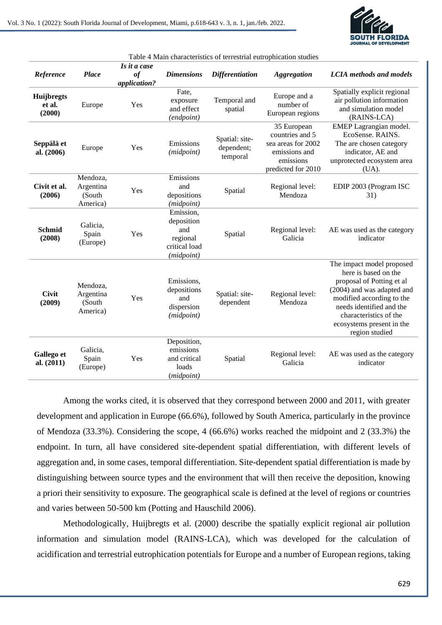

| Table 4 Main characteristics of terrestrial eutrophication studies |                                              |                                    |                                                                           |                                          |                                                                                                          |                                                                                                                                                                                                                                                |
|--------------------------------------------------------------------|----------------------------------------------|------------------------------------|---------------------------------------------------------------------------|------------------------------------------|----------------------------------------------------------------------------------------------------------|------------------------------------------------------------------------------------------------------------------------------------------------------------------------------------------------------------------------------------------------|
| Reference                                                          | <b>Place</b>                                 | Is it a case<br>of<br>application? | <b>Dimensions</b>                                                         | <b>Differentiation</b>                   | <b>Aggregation</b>                                                                                       | <b>LCIA</b> methods and models                                                                                                                                                                                                                 |
| Huijbregts<br>et al.<br>(2000)                                     | Europe                                       | Yes                                | Fate,<br>exposure<br>and effect<br>(endpoint)                             | Temporal and<br>spatial                  | Europe and a<br>number of<br>European regions                                                            | Spatially explicit regional<br>air pollution information<br>and simulation model<br>(RAINS-LCA)                                                                                                                                                |
| Seppälä et<br>al. (2006)                                           | Europe                                       | Yes                                | Emissions<br>(midpoint)                                                   | Spatial: site-<br>dependent;<br>temporal | 35 European<br>countries and 5<br>sea areas for 2002<br>emissions and<br>emissions<br>predicted for 2010 | EMEP Lagrangian model.<br>EcoSense. RAINS.<br>The are chosen category<br>indicator, AE and<br>unprotected ecosystem area<br>(UA).                                                                                                              |
| Civit et al.<br>(2006)                                             | Mendoza,<br>Argentina<br>(South)<br>America) | Yes                                | Emissions<br>and<br>depositions<br>(midpoint)                             | Spatial                                  | Regional level:<br>Mendoza                                                                               | EDIP 2003 (Program ISC<br>31)                                                                                                                                                                                                                  |
| <b>Schmid</b><br>(2008)                                            | Galicia,<br>Spain<br>(Europe)                | Yes                                | Emission,<br>deposition<br>and<br>regional<br>critical load<br>(midpoint) | Spatial                                  | Regional level:<br>Galicia                                                                               | AE was used as the category<br>indicator                                                                                                                                                                                                       |
| <b>Civit</b><br>(2009)                                             | Mendoza,<br>Argentina<br>(South<br>America)  | Yes                                | Emissions,<br>depositions<br>and<br>dispersion<br>(midpoint)              | Spatial: site-<br>dependent              | Regional level:<br>Mendoza                                                                               | The impact model proposed<br>here is based on the<br>proposal of Potting et al<br>(2004) and was adapted and<br>modified according to the<br>needs identified and the<br>characteristics of the<br>ecosystems present in the<br>region studied |
| Gallego et<br>al. (2011)                                           | Galicia,<br>Spain<br>(Europe)                | Yes                                | Deposition,<br>emissions<br>and critical<br>loads<br>(midpoint)           | Spatial                                  | Regional level:<br>Galicia                                                                               | AE was used as the category<br>indicator                                                                                                                                                                                                       |

Among the works cited, it is observed that they correspond between 2000 and 2011, with greater development and application in Europe (66.6%), followed by South America, particularly in the province of Mendoza (33.3%). Considering the scope, 4 (66.6%) works reached the midpoint and 2 (33.3%) the endpoint. In turn, all have considered site-dependent spatial differentiation, with different levels of aggregation and, in some cases, temporal differentiation. Site-dependent spatial differentiation is made by distinguishing between source types and the environment that will then receive the deposition, knowing a priori their sensitivity to exposure. The geographical scale is defined at the level of regions or countries and varies between 50-500 km (Potting and Hauschild 2006).

Methodologically, Huijbregts et al. (2000) describe the spatially explicit regional air pollution information and simulation model (RAINS-LCA), which was developed for the calculation of acidification and terrestrial eutrophication potentials for Europe and a number of European regions, taking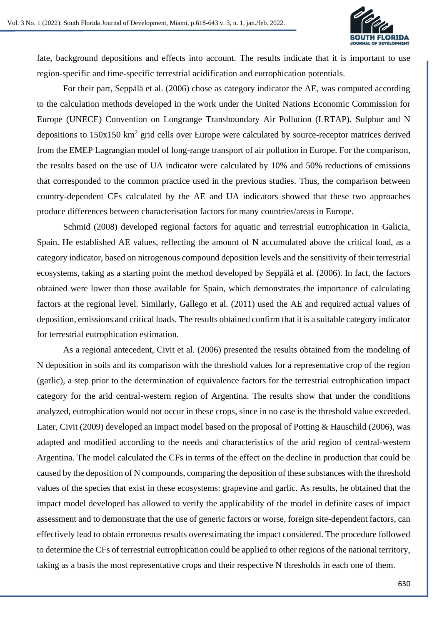

fate, background depositions and effects into account. The results indicate that it is important to use region-specific and time-specific terrestrial acidification and eutrophication potentials.

For their part, Seppälä et al. (2006) chose as category indicator the AE, was computed according to the calculation methods developed in the work under the United Nations Economic Commission for Europe (UNECE) Convention on Longrange Transboundary Air Pollution (LRTAP). Sulphur and N depositions to 150x150 km<sup>2</sup> grid cells over Europe were calculated by source-receptor matrices derived from the EMEP Lagrangian model of long-range transport of air pollution in Europe. For the comparison, the results based on the use of UA indicator were calculated by 10% and 50% reductions of emissions that corresponded to the common practice used in the previous studies. Thus, the comparison between country-dependent CFs calculated by the AE and UA indicators showed that these two approaches produce differences between characterisation factors for many countries/areas in Europe.

Schmid (2008) developed regional factors for aquatic and terrestrial eutrophication in Galicia, Spain. He established AE values, reflecting the amount of N accumulated above the critical load, as a category indicator, based on nitrogenous compound deposition levels and the sensitivity of their terrestrial ecosystems, taking as a starting point the method developed by Seppälä et al. (2006). In fact, the factors obtained were lower than those available for Spain, which demonstrates the importance of calculating factors at the regional level. Similarly, Gallego et al. (2011) used the AE and required actual values of deposition, emissions and critical loads. The results obtained confirm that it is a suitable category indicator for terrestrial eutrophication estimation.

As a regional antecedent, Civit et al. (2006) presented the results obtained from the modeling of N deposition in soils and its comparison with the threshold values for a representative crop of the region (garlic), a step prior to the determination of equivalence factors for the terrestrial eutrophication impact category for the arid central-western region of Argentina. The results show that under the conditions analyzed, eutrophication would not occur in these crops, since in no case is the threshold value exceeded. Later, Civit (2009) developed an impact model based on the proposal of Potting & Hauschild (2006), was adapted and modified according to the needs and characteristics of the arid region of central-western Argentina. The model calculated the CFs in terms of the effect on the decline in production that could be caused by the deposition of N compounds, comparing the deposition of these substances with the threshold values of the species that exist in these ecosystems: grapevine and garlic. As results, he obtained that the impact model developed has allowed to verify the applicability of the model in definite cases of impact assessment and to demonstrate that the use of generic factors or worse, foreign site-dependent factors, can effectively lead to obtain erroneous results overestimating the impact considered. The procedure followed to determine the CFs of terrestrial eutrophication could be applied to other regions of the national territory, taking as a basis the most representative crops and their respective N thresholds in each one of them.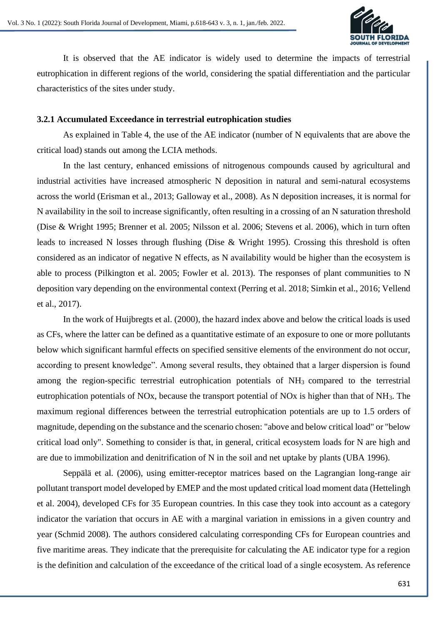

It is observed that the AE indicator is widely used to determine the impacts of terrestrial eutrophication in different regions of the world, considering the spatial differentiation and the particular characteristics of the sites under study.

#### **3.2.1 Accumulated Exceedance in terrestrial eutrophication studies**

As explained in Table 4, the use of the AE indicator (number of N equivalents that are above the critical load) stands out among the LCIA methods.

In the last century, enhanced emissions of nitrogenous compounds caused by agricultural and industrial activities have increased atmospheric N deposition in natural and semi‐natural ecosystems across the world (Erisman et al., 2013; Galloway et al., 2008). As N deposition increases, it is normal for N availability in the soil to increase significantly, often resulting in a crossing of an N saturation threshold (Dise & Wright 1995; Brenner et al. 2005; Nilsson et al. 2006; Stevens et al. 2006), which in turn often leads to increased N losses through flushing (Dise & Wright 1995). Crossing this threshold is often considered as an indicator of negative N effects, as N availability would be higher than the ecosystem is able to process (Pilkington et al. 2005; Fowler et al. 2013). The responses of plant communities to N deposition vary depending on the environmental context (Perring et al. 2018; Simkin et al., 2016; Vellend et al., 2017).

In the work of Huijbregts et al. (2000), the hazard index above and below the critical loads is used as CFs, where the latter can be defined as a quantitative estimate of an exposure to one or more pollutants below which significant harmful effects on specified sensitive elements of the environment do not occur, according to present knowledge". Among several results, they obtained that a larger dispersion is found among the region-specific terrestrial eutrophication potentials of NH<sub>3</sub> compared to the terrestrial eutrophication potentials of NOx, because the transport potential of NOx is higher than that of NH3. The maximum regional differences between the terrestrial eutrophication potentials are up to 1.5 orders of magnitude, depending on the substance and the scenario chosen: "above and below critical load" or "below critical load only". Something to consider is that, in general, critical ecosystem loads for N are high and are due to immobilization and denitrification of N in the soil and net uptake by plants (UBA 1996).

Seppälä et al. (2006), using emitter-receptor matrices based on the Lagrangian long-range air pollutant transport model developed by EMEP and the most updated critical load moment data (Hettelingh et al. 2004), developed CFs for 35 European countries. In this case they took into account as a category indicator the variation that occurs in AE with a marginal variation in emissions in a given country and year (Schmid 2008). The authors considered calculating corresponding CFs for European countries and five maritime areas. They indicate that the prerequisite for calculating the AE indicator type for a region is the definition and calculation of the exceedance of the critical load of a single ecosystem. As reference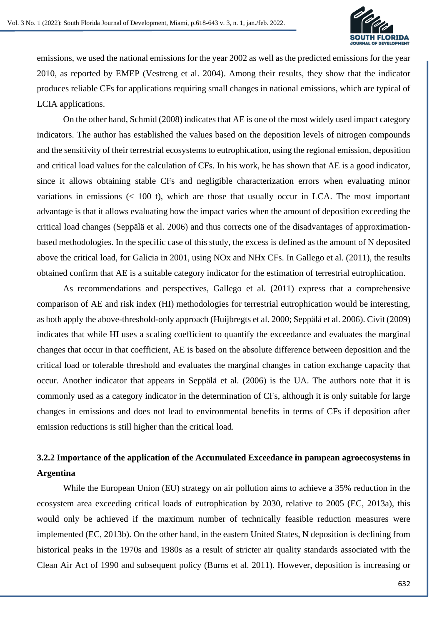

emissions, we used the national emissions for the year 2002 as well as the predicted emissions for the year 2010, as reported by EMEP (Vestreng et al. 2004). Among their results, they show that the indicator produces reliable CFs for applications requiring small changes in national emissions, which are typical of LCIA applications.

On the other hand, Schmid (2008) indicates that AE is one of the most widely used impact category indicators. The author has established the values based on the deposition levels of nitrogen compounds and the sensitivity of their terrestrial ecosystems to eutrophication, using the regional emission, deposition and critical load values for the calculation of CFs. In his work, he has shown that AE is a good indicator, since it allows obtaining stable CFs and negligible characterization errors when evaluating minor variations in emissions  $($  100 t), which are those that usually occur in LCA. The most important advantage is that it allows evaluating how the impact varies when the amount of deposition exceeding the critical load changes (Seppälä et al. 2006) and thus corrects one of the disadvantages of approximationbased methodologies. In the specific case of this study, the excess is defined as the amount of N deposited above the critical load, for Galicia in 2001, using NOx and NHx CFs. In Gallego et al. (2011), the results obtained confirm that AE is a suitable category indicator for the estimation of terrestrial eutrophication.

As recommendations and perspectives, Gallego et al. (2011) express that a comprehensive comparison of AE and risk index (HI) methodologies for terrestrial eutrophication would be interesting, as both apply the above-threshold-only approach (Huijbregts et al. 2000; Seppälä et al. 2006). Civit (2009) indicates that while HI uses a scaling coefficient to quantify the exceedance and evaluates the marginal changes that occur in that coefficient, AE is based on the absolute difference between deposition and the critical load or tolerable threshold and evaluates the marginal changes in cation exchange capacity that occur. Another indicator that appears in Seppälä et al. (2006) is the UA. The authors note that it is commonly used as a category indicator in the determination of CFs, although it is only suitable for large changes in emissions and does not lead to environmental benefits in terms of CFs if deposition after emission reductions is still higher than the critical load.

# **3.2.2 Importance of the application of the Accumulated Exceedance in pampean agroecosystems in Argentina**

While the European Union (EU) strategy on air pollution aims to achieve a 35% reduction in the ecosystem area exceeding critical loads of eutrophication by 2030, relative to 2005 (EC, 2013a), this would only be achieved if the maximum number of technically feasible reduction measures were implemented (EC, 2013b). On the other hand, in the eastern United States, N deposition is declining from historical peaks in the 1970s and 1980s as a result of stricter air quality standards associated with the Clean Air Act of 1990 and subsequent policy (Burns et al. 2011). However, deposition is increasing or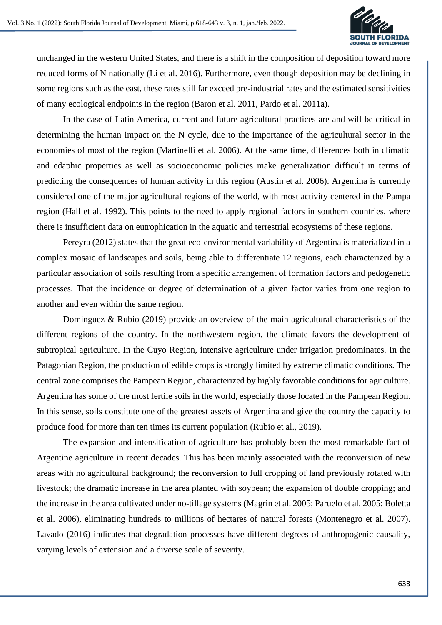

unchanged in the western United States, and there is a shift in the composition of deposition toward more reduced forms of N nationally (Li et al. 2016). Furthermore, even though deposition may be declining in some regions such as the east, these rates still far exceed pre-industrial rates and the estimated sensitivities of many ecological endpoints in the region (Baron et al. 2011, Pardo et al. 2011a).

In the case of Latin America, current and future agricultural practices are and will be critical in determining the human impact on the N cycle, due to the importance of the agricultural sector in the economies of most of the region (Martinelli et al. 2006). At the same time, differences both in climatic and edaphic properties as well as socioeconomic policies make generalization difficult in terms of predicting the consequences of human activity in this region (Austin et al. 2006). Argentina is currently considered one of the major agricultural regions of the world, with most activity centered in the Pampa region (Hall et al. 1992). This points to the need to apply regional factors in southern countries, where there is insufficient data on eutrophication in the aquatic and terrestrial ecosystems of these regions.

Pereyra (2012) states that the great eco-environmental variability of Argentina is materialized in a complex mosaic of landscapes and soils, being able to differentiate 12 regions, each characterized by a particular association of soils resulting from a specific arrangement of formation factors and pedogenetic processes. That the incidence or degree of determination of a given factor varies from one region to another and even within the same region.

Dominguez & Rubio (2019) provide an overview of the main agricultural characteristics of the different regions of the country. In the northwestern region, the climate favors the development of subtropical agriculture. In the Cuyo Region, intensive agriculture under irrigation predominates. In the Patagonian Region, the production of edible crops is strongly limited by extreme climatic conditions. The central zone comprises the Pampean Region, characterized by highly favorable conditions for agriculture. Argentina has some of the most fertile soils in the world, especially those located in the Pampean Region. In this sense, soils constitute one of the greatest assets of Argentina and give the country the capacity to produce food for more than ten times its current population (Rubio et al., 2019).

The expansion and intensification of agriculture has probably been the most remarkable fact of Argentine agriculture in recent decades. This has been mainly associated with the reconversion of new areas with no agricultural background; the reconversion to full cropping of land previously rotated with livestock; the dramatic increase in the area planted with soybean; the expansion of double cropping; and the increase in the area cultivated under no-tillage systems (Magrin et al. 2005; Paruelo et al. 2005; Boletta et al. 2006), eliminating hundreds to millions of hectares of natural forests (Montenegro et al. 2007). Lavado (2016) indicates that degradation processes have different degrees of anthropogenic causality, varying levels of extension and a diverse scale of severity.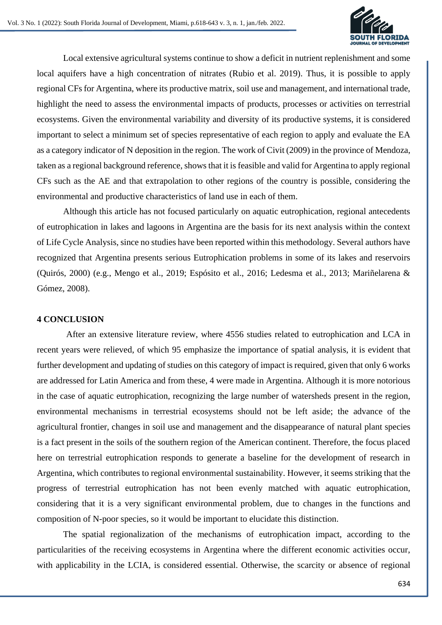

Local extensive agricultural systems continue to show a deficit in nutrient replenishment and some local aquifers have a high concentration of nitrates (Rubio et al. 2019). Thus, it is possible to apply regional CFs for Argentina, where its productive matrix, soil use and management, and international trade, highlight the need to assess the environmental impacts of products, processes or activities on terrestrial ecosystems. Given the environmental variability and diversity of its productive systems, it is considered important to select a minimum set of species representative of each region to apply and evaluate the EA as a category indicator of N deposition in the region. The work of Civit (2009) in the province of Mendoza, taken as a regional background reference, shows that it is feasible and valid for Argentina to apply regional CFs such as the AE and that extrapolation to other regions of the country is possible, considering the environmental and productive characteristics of land use in each of them.

Although this article has not focused particularly on aquatic eutrophication, regional antecedents of eutrophication in lakes and lagoons in Argentina are the basis for its next analysis within the context of Life Cycle Analysis, since no studies have been reported within this methodology. Several authors have recognized that Argentina presents serious Eutrophication problems in some of its lakes and reservoirs (Quirós, 2000) (e.g., Mengo et al., 2019; Espósito et al., 2016; Ledesma et al., 2013; Mariñelarena & Gómez, 2008).

### **4 CONCLUSION**

After an extensive literature review, where 4556 studies related to eutrophication and LCA in recent years were relieved, of which 95 emphasize the importance of spatial analysis, it is evident that further development and updating of studies on this category of impact is required, given that only 6 works are addressed for Latin America and from these, 4 were made in Argentina. Although it is more notorious in the case of aquatic eutrophication, recognizing the large number of watersheds present in the region, environmental mechanisms in terrestrial ecosystems should not be left aside; the advance of the agricultural frontier, changes in soil use and management and the disappearance of natural plant species is a fact present in the soils of the southern region of the American continent. Therefore, the focus placed here on terrestrial eutrophication responds to generate a baseline for the development of research in Argentina, which contributes to regional environmental sustainability. However, it seems striking that the progress of terrestrial eutrophication has not been evenly matched with aquatic eutrophication, considering that it is a very significant environmental problem, due to changes in the functions and composition of N-poor species, so it would be important to elucidate this distinction.

The spatial regionalization of the mechanisms of eutrophication impact, according to the particularities of the receiving ecosystems in Argentina where the different economic activities occur, with applicability in the LCIA, is considered essential. Otherwise, the scarcity or absence of regional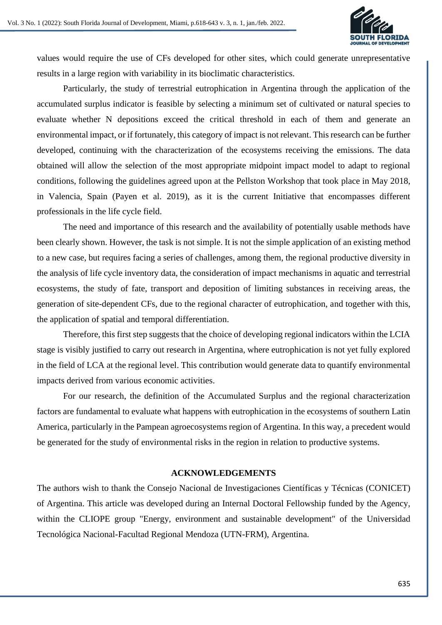

values would require the use of CFs developed for other sites, which could generate unrepresentative results in a large region with variability in its bioclimatic characteristics.

Particularly, the study of terrestrial eutrophication in Argentina through the application of the accumulated surplus indicator is feasible by selecting a minimum set of cultivated or natural species to evaluate whether N depositions exceed the critical threshold in each of them and generate an environmental impact, or if fortunately, this category of impact is not relevant. This research can be further developed, continuing with the characterization of the ecosystems receiving the emissions. The data obtained will allow the selection of the most appropriate midpoint impact model to adapt to regional conditions, following the guidelines agreed upon at the Pellston Workshop that took place in May 2018, in Valencia, Spain (Payen et al. 2019), as it is the current Initiative that encompasses different professionals in the life cycle field.

The need and importance of this research and the availability of potentially usable methods have been clearly shown. However, the task is not simple. It is not the simple application of an existing method to a new case, but requires facing a series of challenges, among them, the regional productive diversity in the analysis of life cycle inventory data, the consideration of impact mechanisms in aquatic and terrestrial ecosystems, the study of fate, transport and deposition of limiting substances in receiving areas, the generation of site-dependent CFs, due to the regional character of eutrophication, and together with this, the application of spatial and temporal differentiation.

Therefore, this first step suggests that the choice of developing regional indicators within the LCIA stage is visibly justified to carry out research in Argentina, where eutrophication is not yet fully explored in the field of LCA at the regional level. This contribution would generate data to quantify environmental impacts derived from various economic activities.

For our research, the definition of the Accumulated Surplus and the regional characterization factors are fundamental to evaluate what happens with eutrophication in the ecosystems of southern Latin America, particularly in the Pampean agroecosystems region of Argentina. In this way, a precedent would be generated for the study of environmental risks in the region in relation to productive systems.

#### **ACKNOWLEDGEMENTS**

The authors wish to thank the Consejo Nacional de Investigaciones Científicas y Técnicas (CONICET) of Argentina. This article was developed during an Internal Doctoral Fellowship funded by the Agency, within the CLIOPE group "Energy, environment and sustainable development" of the Universidad Tecnológica Nacional-Facultad Regional Mendoza (UTN-FRM), Argentina.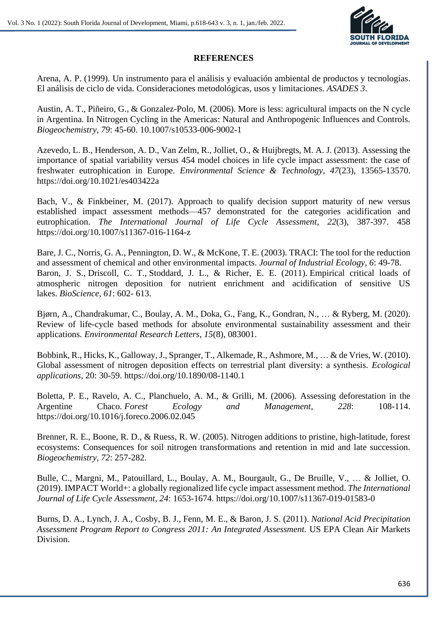

### **REFERENCES**

Arena, A. P. (1999). Un instrumento para el análisis y evaluación ambiental de productos y tecnologías. El análisis de ciclo de vida. Consideraciones metodológicas, usos y limitaciones. *ASADES 3*.

Austin, A. T., Piñeiro, G., & Gonzalez-Polo, M. (2006). More is less: agricultural impacts on the N cycle in Argentina. In Nitrogen Cycling in the Americas: Natural and Anthropogenic Influences and Controls. *Biogeochemistry, 79*: 45-60. 10.1007/s10533-006-9002-1

Azevedo, L. B., Henderson, A. D., Van Zelm, R., Jolliet, O., & Huijbregts, M. A. J. (2013). Assessing the importance of spatial variability versus 454 model choices in life cycle impact assessment: the case of freshwater eutrophication in Europe. *Environmental Science & Technology*, *47*(23), 13565-13570. https://doi.org/10.1021/es403422a

Bach, V., & Finkbeiner, M. (2017). Approach to qualify decision support maturity of new versus established impact assessment methods—457 demonstrated for the categories acidification and eutrophication. *The International Journal of Life Cycle Assessment*, *22*(3), 387-397. 458 https://doi.org/10.1007/s11367-016-1164-z

Bare, J. C., Norris, G. A., Pennington, D. W., & McKone, T. E. (2003). TRACI: The tool for the reduction and assessment of chemical and other environmental impacts. *Journal of Industrial Ecology, 6*: 49-78. Baron, J. S., Driscoll, C. T., Stoddard, J. L., & Richer, E. E. (2011). Empirical critical loads of atmospheric nitrogen deposition for nutrient enrichment and acidification of sensitive US lakes. *BioScience, 61*: 602- 613.

Bjørn, A., Chandrakumar, C., Boulay, A. M., Doka, G., Fang, K., Gondran, N., … & Ryberg, M. (2020). Review of life-cycle based methods for absolute environmental sustainability assessment and their applications*. Environmental Research Letters*, *15*(8), 083001.

Bobbink, R., Hicks, K., Galloway,J., Spranger, T., Alkemade, R., Ashmore, M., … & de Vries, W. (2010). Global assessment of nitrogen deposition effects on terrestrial plant diversity: a synthesis. *Ecological applications,* 20: 30-59. https://doi.org/10.1890/08-1140.1

Boletta, P. E., Ravelo, A. C., Planchuelo, A. M., & Grilli, M. (2006). Assessing deforestation in the Argentine Chaco. *Forest Ecology and Management, 228*: 108-114. https://doi.org/10.1016/j.foreco.2006.02.045

Brenner, R. E., Boone, R. D., & Ruess, R. W. (2005). Nitrogen additions to pristine, high-latitude, forest ecosystems: Consequences for soil nitrogen transformations and retention in mid and late succession. *Biogeochemistry, 72*: 257-282.

Bulle, C., Margni, M., Patouillard, L., Boulay, A. M., Bourgault, G., De Bruille, V., … & Jolliet, O. (2019). IMPACT World+: a globally regionalized life cycle impact assessment method. *The International Journal of Life Cycle Assessment, 24*: 1653-1674. https://doi.org/10.1007/s11367-019-01583-0

Burns, D. A., Lynch, J. A., Cosby, B. J., Fenn, M. E., & Baron, J. S. (2011). *National Acid Precipitation Assessment Program Report to Congress 2011: An Integrated Assessment.* US EPA Clean Air Markets Division.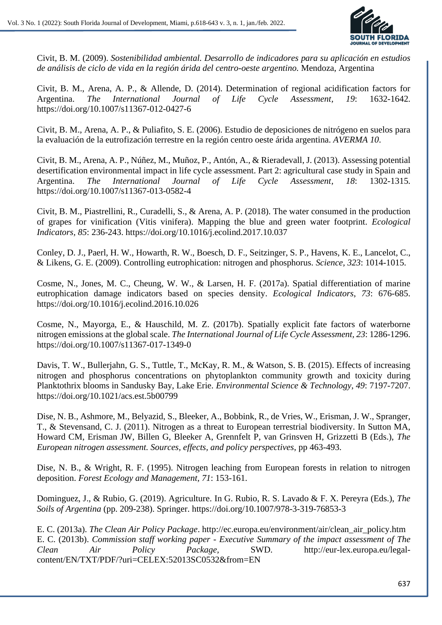

Civit, B. M. (2009). *Sostenibilidad ambiental. Desarrollo de indicadores para su aplicación en estudios de análisis de ciclo de vida en la región árida del centro-oeste argentino.* Mendoza, Argentina

Civit, B. M., Arena, A. P., & Allende, D. (2014). Determination of regional acidification factors for Argentina. *The International Journal of Life Cycle Assessment, 19*: 1632-1642. https://doi.org/10.1007/s11367-012-0427-6

Civit, B. M., Arena, A. P., & Puliafito, S. E. (2006). Estudio de deposiciones de nitrógeno en suelos para la evaluación de la eutrofización terrestre en la región centro oeste árida argentina. *AVERMA 10*.

Civit, B. M., Arena, A. P., Núñez, M., Muñoz, P., Antón, A., & Rieradevall, J. (2013). Assessing potential desertification environmental impact in life cycle assessment. Part 2: agricultural case study in Spain and Argentina. *The International Journal of Life Cycle Assessment, 18*: 1302-1315. https://doi.org/10.1007/s11367-013-0582-4

Civit, B. M., Piastrellini, R., Curadelli, S., & Arena, A. P. (2018). The water consumed in the production of grapes for vinification (Vitis vinifera). Mapping the blue and green water footprint. *Ecological Indicators, 85*: 236-243. https://doi.org/10.1016/j.ecolind.2017.10.037

Conley, D. J., Paerl, H. W., Howarth, R. W., Boesch, D. F., Seitzinger, S. P., Havens, K. E., Lancelot, C., & Likens, G. E. (2009). Controlling eutrophication: nitrogen and phosphorus. *Science, 323*: 1014-1015.

Cosme, N., Jones, M. C., Cheung, W. W., & Larsen, H. F. (2017a). Spatial differentiation of marine eutrophication damage indicators based on species density. *Ecological Indicators*, *73*: 676-685. https://doi.org/10.1016/j.ecolind.2016.10.026

Cosme, N., Mayorga, E., & Hauschild, M. Z. (2017b). Spatially explicit fate factors of waterborne nitrogen emissions at the global scale. *The International Journal of Life Cycle Assessment, 23*: 1286-1296. https://doi.org/10.1007/s11367-017-1349-0

Davis, T. W., Bullerjahn, G. S., Tuttle, T., McKay, R. M., & Watson, S. B. (2015). Effects of increasing nitrogen and phosphorus concentrations on phytoplankton community growth and toxicity during Planktothrix blooms in Sandusky Bay, Lake Erie. *Environmental Science & Technology*, *49*: 7197-7207. https://doi.org/10.1021/acs.est.5b00799

Dise, N. B., Ashmore, M., Belyazid, S., Bleeker, A., Bobbink, R., de Vries, W., Erisman, J. W., Spranger, T., & Stevensand, C. J. (2011). Nitrogen as a threat to European terrestrial biodiversity. In Sutton MA, Howard CM, Erisman JW, Billen G, Bleeker A, Grennfelt P, van Grinsven H, Grizzetti B (Eds.), *The European nitrogen assessment. Sources, effects, and policy perspectives*, pp 463-493.

Dise, N. B., & Wright, R. F. (1995). Nitrogen leaching from European forests in relation to nitrogen deposition. *Forest Ecology and Management, 71*: 153-161.

Dominguez, J., & Rubio, G. (2019). Agriculture. In G. Rubio, R. S. Lavado & F. X. Pereyra (Eds.), *The Soils of Argentina* (pp. 209-238). Springer. https://doi.org/10.1007/978-3-319-76853-3

E. C. (2013a). *The Clean Air Policy Package*. http://ec.europa.eu/environment/air/clean\_air\_policy.htm E. C. (2013b). *Commission staff working paper - Executive Summary of the impact assessment of The Clean Air Policy Package,* SWD. http://eur-lex.europa.eu/legalcontent/EN/TXT/PDF/?uri=CELEX:52013SC0532&from=EN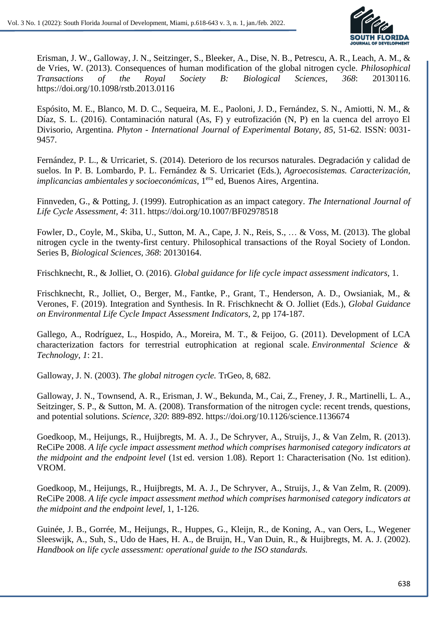

Erisman, J. W., Galloway, J. N., Seitzinger, S., Bleeker, A., Dise, N. B., Petrescu, A. R., Leach, A. M., & de Vries, W. (2013). Consequences of human modification of the global nitrogen cycle. *Philosophical Transactions of the Royal Society B: Biological Sciences, 368*: 20130116. https://doi.org/10.1098/rstb.2013.0116

Espósito, M. E., Blanco, M. D. C., Sequeira, M. E., Paoloni, J. D., Fernández, S. N., Amiotti, N. M., & Díaz, S. L. (2016). Contaminación natural (As, F) y eutrofización (N, P) en la cuenca del arroyo El Divisorio, Argentina. *Phyton - International Journal of Experimental Botany*, *85*, 51-62. ISSN: 0031- 9457.

Fernández, P. L., & Urricariet, S. (2014). Deterioro de los recursos naturales. Degradación y calidad de suelos. In P. B. Lombardo, P. L. Fernández & S. Urricariet (Eds.), *Agroecosistemas. Caracterización, implicancias ambientales y socioeconómicas*, 1 era ed, Buenos Aires, Argentina.

Finnveden, G., & Potting, J. (1999). Eutrophication as an impact category. *The International Journal of Life Cycle Assessment, 4*: 311. https://doi.org/10.1007/BF02978518

Fowler, D., Coyle, M., Skiba, U., Sutton, M. A., Cape, J. N., Reis, S., … & Voss, M. (2013). The global nitrogen cycle in the twenty-first century. Philosophical transactions of the Royal Society of London. Series B, *Biological Sciences, 368*: 20130164.

Frischknecht, R., & Jolliet, O. (2016). *Global guidance for life cycle impact assessment indicators,* 1.

Frischknecht, R., Jolliet, O., Berger, M., Fantke, P., Grant, T., Henderson, A. D., Owsianiak, M., & Verones, F. (2019). Integration and Synthesis. In R. Frischknecht & O. Jolliet (Eds.), *Global Guidance on Environmental Life Cycle Impact Assessment Indicators*, 2, pp 174-187.

Gallego, A., Rodríguez, L., Hospido, A., Moreira, M. T., & Feijoo, G. (2011). Development of LCA characterization factors for terrestrial eutrophication at regional scale. *Environmental Science & Technology*, *1*: 21.

Galloway, J. N. (2003). *The global nitrogen cycle.* TrGeo, 8, 682.

Galloway, J. N., Townsend, A. R., Erisman, J. W., Bekunda, M., Cai, Z., Freney, J. R., Martinelli, L. A., Seitzinger, S. P., & Sutton, M. A. (2008). Transformation of the nitrogen cycle: recent trends, questions, and potential solutions. *Science, 320*: 889-892. https://doi.org/10.1126/science.1136674

Goedkoop, M., Heijungs, R., Huijbregts, M. A. J., De Schryver, A., Struijs, J., & Van Zelm, R. (2013). ReCiPe 2008. *A life cycle impact assessment method which comprises harmonised category indicators at the midpoint and the endpoint level* (1st ed. version 1.08). Report 1: Characterisation (No. 1st edition). VROM.

Goedkoop, M., Heijungs, R., Huijbregts, M. A. J., De Schryver, A., Struijs, J., & Van Zelm, R. (2009). ReCiPe 2008. *A life cycle impact assessment method which comprises harmonised category indicators at the midpoint and the endpoint level,* 1, 1-126.

Guinée, J. B., Gorrée, M., Heijungs, R., Huppes, G., Kleijn, R., de Koning, A., van Oers, L., Wegener Sleeswijk, A., Suh, S., Udo de Haes, H. A., de Bruijn, H., Van Duin, R., & Huijbregts, M. A. J. (2002). *Handbook on life cycle assessment: operational guide to the ISO standards.*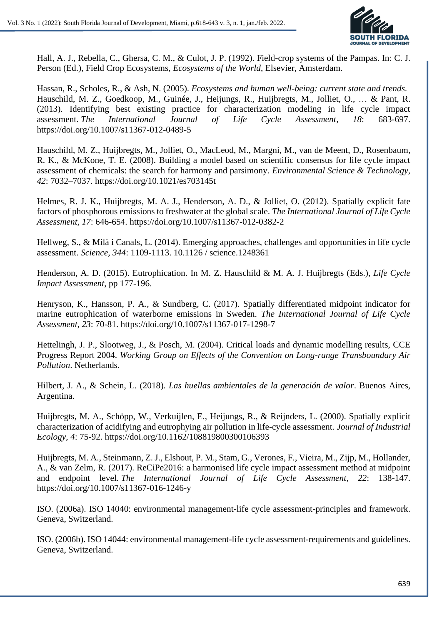

Hall, A. J., Rebella, C., Ghersa, C. M., & Culot, J. P. (1992). Field-crop systems of the Pampas. In: C. J. Person (Ed.), Field Crop Ecosystems, *Ecosystems of the World*, Elsevier, Amsterdam.

Hassan, R., Scholes, R., & Ash, N. (2005). *Ecosystems and human well-being: current state and trends.* Hauschild, M. Z., Goedkoop, M., Guinée, J., Heijungs, R., Huijbregts, M., Jolliet, O., … & Pant, R. (2013). Identifying best existing practice for characterization modeling in life cycle impact assessment. *The International Journal of Life Cycle Assessment, 18*: 683-697. https://doi.org/10.1007/s11367-012-0489-5

Hauschild, M. Z., Huijbregts, M., Jolliet, O., MacLeod, M., Margni, M., van de Meent, D., Rosenbaum, R. K., & McKone, T. E. (2008). Building a model based on scientific consensus for life cycle impact assessment of chemicals: the search for harmony and parsimony. *Environmental Science & Technology*, *42*: 7032–7037. https://doi.org/10.1021/es703145t

Helmes, R. J. K., Huijbregts, M. A. J., Henderson, A. D., & Jolliet, O. (2012). Spatially explicit fate factors of phosphorous emissions to freshwater at the global scale. *The International Journal of Life Cycle Assessment, 17*: 646-654. https://doi.org/10.1007/s11367-012-0382-2

Hellweg, S., & Milà i Canals, L. (2014). Emerging approaches, challenges and opportunities in life cycle assessment. *Science, 344*: 1109-1113. 10.1126 / science.1248361

Henderson, A. D. (2015). Eutrophication. In M. Z. Hauschild & M. A. J. Huijbregts (Eds.), *Life Cycle Impact Assessment*, pp 177-196.

Henryson, K., Hansson, P. A., & Sundberg, C. (2017). Spatially differentiated midpoint indicator for marine eutrophication of waterborne emissions in Sweden. *The International Journal of Life Cycle Assessment, 23*: 70-81. https://doi.org/10.1007/s11367-017-1298-7

Hettelingh, J. P., Slootweg, J., & Posch, M. (2004). Critical loads and dynamic modelling results, CCE Progress Report 2004. *Working Group on Effects of the Convention on Long-range Transboundary Air Pollution*. Netherlands.

Hilbert, J. A., & Schein, L. (2018). *Las huellas ambientales de la generación de valor*. Buenos Aires, Argentina.

Huijbregts, M. A., Schöpp, W., Verkuijlen, E., Heijungs, R., & Reijnders, L. (2000). Spatially explicit characterization of acidifying and eutrophying air pollution in life‐cycle assessment. *Journal of Industrial Ecology, 4*: 75-92. https://doi.org/10.1162/108819800300106393

Huijbregts, M. A., Steinmann, Z. J., Elshout, P. M., Stam, G., Verones, F., Vieira, M., Zijp, M., Hollander, A., & van Zelm, R. (2017). ReCiPe2016: a harmonised life cycle impact assessment method at midpoint and endpoint level. *The International Journal of Life Cycle Assessment, 22*: 138-147. https://doi.org/10.1007/s11367-016-1246-y

ISO. (2006a). ISO 14040: environmental management-life cycle assessment-principles and framework. Geneva, Switzerland.

ISO. (2006b). ISO 14044: environmental management-life cycle assessment-requirements and guidelines. Geneva, Switzerland.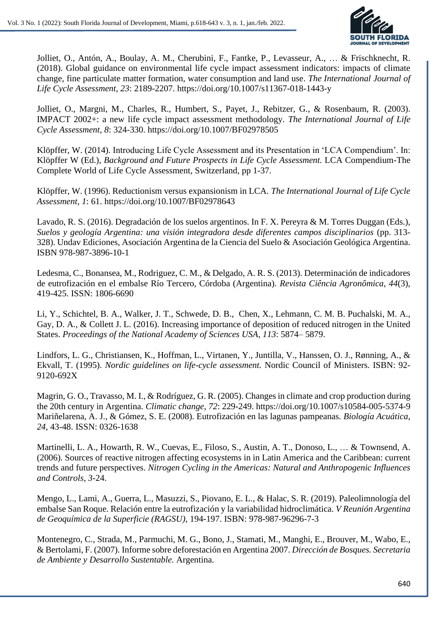

Jolliet, O., Antón, A., Boulay, A. M., Cherubini, F., Fantke, P., Levasseur, A., … & Frischknecht, R. (2018). Global guidance on environmental life cycle impact assessment indicators: impacts of climate change, fine particulate matter formation, water consumption and land use. *The International Journal of Life Cycle Assessment*, *23*: 2189-2207. https://doi.org/10.1007/s11367-018-1443-y

Jolliet, O., Margni, M., Charles, R., Humbert, S., Payet, J., Rebitzer, G., & Rosenbaum, R. (2003). IMPACT 2002+: a new life cycle impact assessment methodology. *The International Journal of Life Cycle Assessment, 8*: 324-330. https://doi.org/10.1007/BF02978505

Klöpffer, W. (2014). Introducing Life Cycle Assessment and its Presentation in 'LCA Compendium'. In: Klöpffer W (Ed.), *Background and Future Prospects in Life Cycle Assessment.* LCA Compendium-The Complete World of Life Cycle Assessment, Switzerland, pp 1-37.

Klöpffer, W. (1996). Reductionism versus expansionism in LCA. *The International Journal of Life Cycle Assessment, 1*: 61. https://doi.org/10.1007/BF02978643

Lavado, R. S. (2016). Degradación de los suelos argentinos. In F. X. Pereyra & M. Torres Duggan (Eds.), *Suelos y geología Argentina: una visión integradora desde diferentes campos disciplinarios* (pp. 313- 328). Undav Ediciones, Asociación Argentina de la Ciencia del Suelo & Asociación Geológica Argentina. ISBN 978-987-3896-10-1

Ledesma, C., Bonansea, M., Rodriguez, C. M., & Delgado, A. R. S. (2013). Determinación de indicadores de eutrofización en el embalse Río Tercero, Córdoba (Argentina). *Revista Ciência Agronômica*, *44*(3), 419-425. ISSN: 1806-6690

Li, Y., Schichtel, B. A., Walker, J. T., Schwede, D. B., Chen, X., Lehmann, C. M. B. Puchalski, M. A., Gay, D. A., & Collett J. L. (2016). Increasing importance of deposition of reduced nitrogen in the United States. *Proceedings of the National Academy of Sciences USA*, *113*: 5874– 5879.

Lindfors, L. G., Christiansen, K., Hoffman, L., Virtanen, Y., Juntilla, V., Hanssen, O. J., Rønning, A., & Ekvall, T. (1995). *Nordic guidelines on life-cycle assessment.* Nordic Council of Ministers. ISBN: 92- 9120-692X

Magrin, G. O., Travasso, M. I., & Rodríguez, G. R. (2005). Changes in climate and crop production during the 20th century in Argentina. *Climatic change*, *72*: 229-249. https://doi.org/10.1007/s10584-005-5374-9 Mariñelarena, A. J., & Gómez, S. E. (2008). Eutrofización en las lagunas pampeanas. *Biología Acuática*, *24*, 43-48. ISSN: 0326-1638

Martinelli, L. A., Howarth, R. W., Cuevas, E., Filoso, S., Austin, A. T., Donoso, L., … & Townsend, A. (2006). Sources of reactive nitrogen affecting ecosystems in in Latin America and the Caribbean: current trends and future perspectives. *Nitrogen Cycling in the Americas: Natural and Anthropogenic Influences and Controls*, *3*-24.

Mengo, L., Lami, A., Guerra, L., Masuzzi, S., Piovano, E. L., & Halac, S. R. (2019). Paleolimnología del embalse San Roque. Relación entre la eutrofización y la variabilidad hidroclimática. *V Reunión Argentina de Geoquímica de la Superficie (RAGSU),* 194-197. ISBN: 978-987-96296-7-3

Montenegro, C., Strada, M., Parmuchi, M. G., Bono, J., Stamati, M., Manghi, E., Brouver, M., Wabo, E., & Bertolami, F. (2007). Informe sobre deforestación en Argentina 2007. *Dirección de Bosques. Secretaria de Ambiente y Desarrollo Sustentable.* Argentina.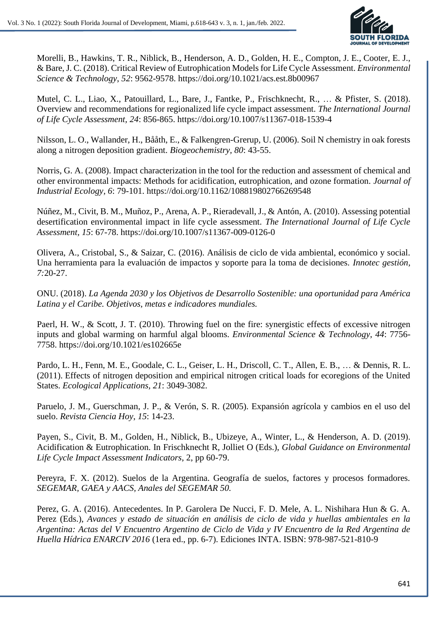

Morelli, B., Hawkins, T. R., Niblick, B., Henderson, A. D., Golden, H. E., Compton, J. E., Cooter, E. J., & Bare,J. C. (2018). Critical Review of Eutrophication Models for Life Cycle Assessment. *Environmental Science & Technology*, *52*: 9562-9578. https://doi.org/10.1021/acs.est.8b00967

Mutel, C. L., Liao, X., Patouillard, L., Bare, J., Fantke, P., Frischknecht, R., … & Pfister, S. (2018). Overview and recommendations for regionalized life cycle impact assessment. *The International Journal of Life Cycle Assessment, 24*: 856-865. https://doi.org/10.1007/s11367-018-1539-4

Nilsson, L. O., Wallander, H., Bååth, E., & Falkengren-Grerup, U. (2006). Soil N chemistry in oak forests along a nitrogen deposition gradient. *Biogeochemistry, 80*: 43-55.

Norris, G. A. (2008). Impact characterization in the tool for the reduction and assessment of chemical and other environmental impacts: Methods for acidification, eutrophication, and ozone formation. *Journal of Industrial Ecology, 6*: 79-101. https://doi.org/10.1162/108819802766269548

Núñez, M., Civit, B. M., Muñoz, P., Arena, A. P., Rieradevall, J., & Antón, A. (2010). Assessing potential desertification environmental impact in life cycle assessment. *The International Journal of Life Cycle Assessment, 15*: 67-78. https://doi.org/10.1007/s11367-009-0126-0

Olivera, A., Cristobal, S., & Saizar, C. (2016). Análisis de ciclo de vida ambiental, económico y social. Una herramienta para la evaluación de impactos y soporte para la toma de decisiones. *Innotec gestión, 7:*20-27.

ONU. (2018). *La Agenda 2030 y los Objetivos de Desarrollo Sostenible: una oportunidad para América Latina y el Caribe. Objetivos, metas e indicadores mundiales.*

Paerl, H. W., & Scott, J. T. (2010). Throwing fuel on the fire: synergistic effects of excessive nitrogen inputs and global warming on harmful algal blooms. *Environmental Science & Technology*, *44*: 7756- 7758. https://doi.org/10.1021/es102665e

Pardo, L. H., Fenn, M. E., Goodale, C. L., Geiser, L. H., Driscoll, C. T., Allen, E. B., … & Dennis, R. L. (2011). Effects of nitrogen deposition and empirical nitrogen critical loads for ecoregions of the United States. *Ecological Applications, 21*: 3049-3082.

Paruelo, J. M., Guerschman, J. P., & Verón, S. R. (2005). Expansión agrícola y cambios en el uso del suelo. *Revista Ciencia Hoy*, *15*: 14-23.

Payen, S., Civit, B. M., Golden, H., Niblick, B., Ubizeye, A., Winter, L., & Henderson, A. D. (2019). Acidification & Eutrophication. In Frischknecht R, Jolliet O (Eds.), *Global Guidance on Environmental Life Cycle Impact Assessment Indicators*, 2, pp 60-79.

Pereyra, F. X. (2012). Suelos de la Argentina. Geografía de suelos, factores y procesos formadores. *SEGEMAR, GAEA y AACS, Anales del SEGEMAR 50.*

Perez, G. A. (2016). Antecedentes. In P. Garolera De Nucci, F. D. Mele, A. L. Nishihara Hun & G. A. Perez (Eds.), *Avances y estado de situación en análisis de ciclo de vida y huellas ambientales en la Argentina: Actas del V Encuentro Argentino de Ciclo de Vida y IV Encuentro de la Red Argentina de Huella Hídrica ENARCIV 2016* (1era ed., pp. 6-7). Ediciones INTA. ISBN: 978-987-521-810-9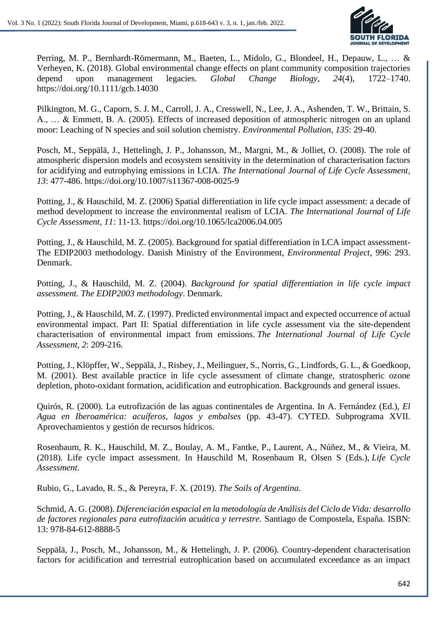

Perring, M. P., Bernhardt‐Römermann, M., Baeten, L., Midolo, G., Blondeel, H., Depauw, L., … & Verheyen, K. (2018). Global environmental change effects on plant community composition trajectories depend upon management legacies. *Global Change Biology*, *24*(4), 1722–1740. https://doi.org/10.1111/gcb.14030

Pilkington, M. G., Caporn, S. J. M., Carroll, J. A., Cresswell, N., Lee, J. A., Ashenden, T. W., Brittain, S. A., … & Emmett, B. A. (2005). Effects of increased deposition of atmospheric nitrogen on an upland moor: Leaching of N species and soil solution chemistry. *Environmental Pollution, 135*: 29-40.

Posch, M., Seppälä, J., Hettelingh, J. P., Johansson, M., Margni, M., & Jolliet, O. (2008). The role of atmospheric dispersion models and ecosystem sensitivity in the determination of characterisation factors for acidifying and eutrophying emissions in LCIA. *The International Journal of Life Cycle Assessment, 13*: 477-486. https://doi.org/10.1007/s11367-008-0025-9

Potting, J., & Hauschild, M. Z. (2006) Spatial differentiation in life cycle impact assessment: a decade of method development to increase the environmental realism of LCIA. *The International Journal of Life Cycle Assessment, 11*: 11-13. https://doi.org/10.1065/lca2006.04.005

Potting, J., & Hauschild, M. Z. (2005). Background for spatial differentiation in LCA impact assessment-The EDIP2003 methodology. Danish Ministry of the Environment, *Environmental Project*, 996: 293. Denmark.

Potting, J., & Hauschild, M. Z. (2004). *Background for spatial differentiation in life cycle impact assessment. The EDIP2003 methodology*. Denmark.

Potting, J., & Hauschild, M. Z. (1997). Predicted environmental impact and expected occurrence of actual environmental impact. Part II: Spatial differentiation in life cycle assessment via the site-dependent characterisation of environmental impact from emissions. *The International Journal of Life Cycle Assessment, 2*: 209-216.

Potting, J., Klöpffer, W., Seppälä, J., Risbey, J., Meilinguer, S., Norris, G., Lindfords, G. L., & Goedkoop, M. (2001). Best available practice in life cycle assessment of climate change, stratospheric ozone depletion, photo-oxidant formation, acidification and eutrophication. Backgrounds and general issues.

Quirós, R. (2000). La eutrofización de las aguas continentales de Argentina. In A. Fernández (Ed.), *El Agua en Iberoamérica: acuíferos, lagos y embalses* (pp. 43-47). CYTED. Subprograma XVII. Aprovechamientos y gestión de recursos hídricos.

Rosenbaum, R. K., Hauschild, M. Z., Boulay, A. M., Fantke, P., Laurent, A., Núñez, M., & Vieira, M. (2018). Life cycle impact assessment. In Hauschild M, Rosenbaum R, Olsen S (Eds.), *Life Cycle Assessment*.

Rubio, G., Lavado, R. S., & Pereyra, F. X. (2019). *The Soils of Argentina*.

Schmid, A. G. (2008). *Diferenciación espacial en la metodología de Análisis del Ciclo de Vida: desarrollo de factores regionales para eutrofización acuática y terrestre.* Santiago de Compostela, España. ISBN: 13: 978-84-612-8888-5

Seppälä, J., Posch, M., Johansson, M., & Hettelingh, J. P. (2006). Country-dependent characterisation factors for acidification and terrestrial eutrophication based on accumulated exceedance as an impact